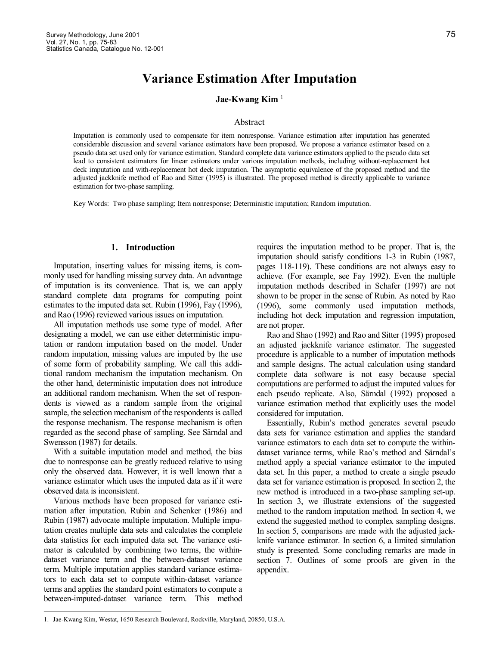# **Variance Estimation After Imputation**

## **Jae-Kwang Kim**<sup>1</sup>

#### Abstract

Imputation is commonly used to compensate for item nonresponse. Variance estimation after imputation has generated considerable discussion and several variance estimators have been proposed. We propose a variance estimator based on a pseudo data set used only for variance estimation. Standard complete data variance estimators applied to the pseudo data set lead to consistent estimators for linear estimators under various imputation methods, including without-replacement hot deck imputation and with-replacement hot deck imputation. The asymptotic equivalence of the proposed method and the adjusted jackknife method of Rao and Sitter (1995) is illustrated. The proposed method is directly applicable to variance estimation for two-phase sampling.

Key Words: Two phase sampling; Item nonresponse; Deterministic imputation; Random imputation.

# **1. Introduction**

Imputation, inserting values for missing items, is com monly used for handling missing survey data. An advantage of imputation is its convenience. That is, we can apply standard complete data programs for computing point estimates to the imputed data set. Rubin (1996), Fay (1996), and Rao (1996) reviewed various issues on imputation.

All imputation methods use some type of model. After designating a model, we can use either deterministic imputation or random imputation based on the model. Under random imputation, missing values are imputed by the use of some form of probability sampling. We call this additional random mechanism the imputation mechanism. On the other hand, deterministic imputation does not introduce an additional random mechanism. When the set of respon dents is viewed as a random sample from the original sample, the selection mechanism of the respondents is called the response mechanism. The response mechanism is often regarded as the second phase of sampling. See Särndal and Swensson (1987) for details.

With a suitable imputation model and method, the bias due to nonresponse can be greatly reduced relative to using only the observed data. However, it is well known that a variance estimator which uses the imputed data as if it were observed data is inconsistent.

Various methods have been proposed for variance esti mation after imputation. Rubin and Schenker (1986) and Rubin (1987) advocate multiple imputation. Multiple imputation creates multiple data sets and calculates the complete data statistics for each imputed data set. The variance esti mator is calculated by combining two terms, the within dataset variance term and the between-dataset variance term. Multiple imputation applies standard variance estimators to each data set to compute within-dataset variance terms and applies the standard point estimators to compute a between-imputed-dataset variance term. This method requires the imputation method to be proper. That is, the imputation should satisfy conditions 1-3 in Rubin (1987, pages 118-119). These conditions are not always easy to achieve. (For example, see Fay 1992). Even the multiple imputation methods described in Schafer (1997) are not shown to be proper in the sense of Rubin. As noted by Rao (1996), some commonly used imputation methods, including hot deck imputation and regression imputation, are not proper.

Rao and Shao (1992) and Rao and Sitter (1995) proposed an adjusted jackknife variance estimator. The suggested procedure is applicable to a number of imputation methods and sample designs. The actual calculation using standard complete data software is not easy because special computations are performed to adjust the imputed values for each pseudo replicate. Also, Särndal (1992) proposed a variance estimation method that explicitly uses the model considered for imputation.

Essentially, Rubin's method generates several pseudo data sets for variance estimation and applies the standard variance estimators to each data set to compute the within dataset variance terms, while Rao's method and Särndal's method apply a special variance estimator to the imputed data set. In this paper, a method to create a single pseudo data set for variance estimation is proposed. In section 2, the new method is introduced in a two-phase sampling set-up. In section 3, we illustrate extensions of the suggested method to the random imputation method. In section 4, we extend the suggested method to complex sampling designs. In section 5, comparisons are made with the adjusted jack knife variance estimator. In section 6, a limited simulation study is presented. Some concluding remarks are made in section 7. Outlines of some proofs are given in the appendix.

<sup>1.</sup>  JaeKwang Kim, Westat, 1650 Research Boulevard, Rockville, Maryland, 20850, U.S.A.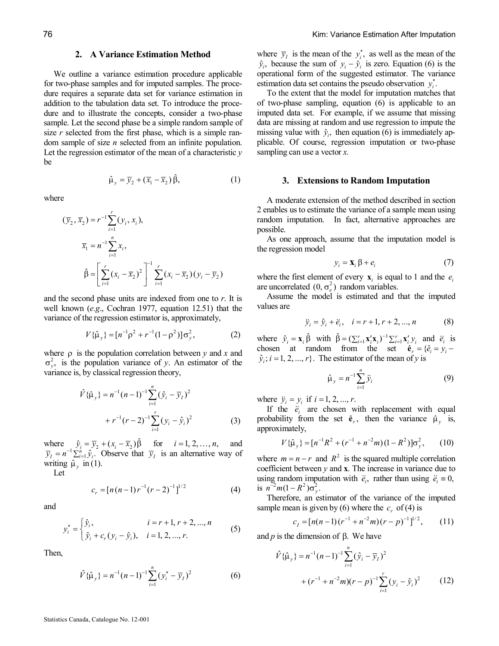# **2. A Variance Estimation Method**

We outline a variance estimation procedure applicable for two-phase samples and for imputed samples. The procedure requires a separate data set for variance estimation in addition to the tabulation data set. To introduce the proce dure and to illustrate the concepts, consider a two-phase sample. Let the second phase be a simple random sample of size *r* selected from the first phase, which is a simple random sample of size *n* selected from an infinite population. Let the regression estimator of the mean of a characteristic *y* be

 $\hat{\mu}_v = \overline{y}_2 + (\overline{x}_1 - \overline{x}_2) \hat{\beta},$ (1)

where

$$
(\overline{y}_2, \overline{x}_2) = r^{-1} \sum_{i=1}^r (y_i, x_i),
$$
  

$$
\overline{x}_1 = n^{-1} \sum_{i=1}^n x_i,
$$
  

$$
\hat{\beta} = \left[ \sum_{i=1}^r (x_i - \overline{x}_2)^2 \right]^{-1} \sum_{i=1}^r (x_i - \overline{x}_2)(y_i - \overline{y}_2)
$$

and the second phase units are indexed from one to *r*. It is well known (*e.g*., Cochran 1977, equation 12.51) that the variance of the regression estimator is, approximately,

$$
V\{\hat{\mu}_y\} = [n^{-1}\rho^2 + r^{-1}(1-\rho^2)]\sigma_y^2, \qquad (2)
$$

where  $\rho$  is the population correlation between *y* and *x* and  $\sigma_y^2$ , is the population variance of *y*. An estimator of the variance is, by classical regression theory,

$$
\hat{V}\{\hat{\mu}_y\} = n^{-1}(n-1)^{-1} \sum_{i=1}^n (\hat{y}_i - \overline{y}_i)^2
$$
  
+ 
$$
r^{-1}(r-2)^{-1} \sum_{i=1}^r (y_i - \hat{y}_i)^2
$$
 (3)

where  $\hat{y}_i = \overline{y}_2 + (x_i - \overline{x}_2) \hat{\beta}$  for  $i = 1, 2, ..., n$ , and  $\overline{y}_I = n^{-1} \sum_{i=1}^n \hat{y}_i$ . Observe that  $\overline{y}_I$  is an alternative way of writing  $\hat{\mu}_y$  in (1).<br>Let

$$
c_r = [n(n-1)r^{-1}(r-2)^{-1}]^{1/2}
$$
 (4)

and

$$
y_i^* = \begin{cases} \hat{y}_i, & i = r+1, r+2, ..., n \\ \hat{y}_i + c_r (y_i - \hat{y}_i), & i = 1, 2, ..., r. \end{cases}
$$
 (5)

Then,

$$
\hat{V}\{\hat{\mu}_y\} = n^{-1}(n-1)^{-1} \sum_{i=1}^n (y_i^* - \overline{y}_I)^2
$$
 (6)

where  $\bar{y}_i$  is the mean of the  $y_i^*$ , as well as the mean of the  $\hat{y}_i$ , because the sum of  $y_i - \hat{y}_i$  is zero. Equation (6) is the operational form of the suggested estimator. The variance estimation data set contains the pseudo observation  $y_i^*$ .

To the extent that the model for imputation matches that of twophase sampling, equation (6) is applicable to an imputed data set. For example, if we assume that missing data are missing at random and use regression to impute the missing value with  $\hat{y}_i$ , then equation (6) is immediately applicable. Of course, regression imputation or two-phase sampling can use a vector *x.*

#### **3. Extensions to Random Imputation**

A moderate extension of the method described in section 2 enables us to estimate the variance of a sample mean using random imputation. In fact, alternative approaches are possible.

As one approach, assume that the imputation model is the regression model

$$
y_i = \mathbf{X}_i \beta + e_i \tag{7}
$$

where the first element of every  $\mathbf{x}_i$  is equal to 1 and the  $e_i$  are uncorrelated  $(0, \sigma_e^2)$  random variables.

Assume the model is estimated and that the imputed values are

$$
\ddot{y}_i = \hat{y}_i + \ddot{e}_i, \quad i = r + 1, r + 2, ..., n \tag{8}
$$

where  $\hat{y}_i = \mathbf{x}_i \hat{\beta}$  with  $\hat{\beta} = (\sum_{i=1}^r \mathbf{x}_i' \mathbf{x}_i)^{-1} \sum_{i=1}^r \mathbf{x}_i' y_i$  and  $\hat{e}_i$  is chosen at random from the set  $\hat{\mathbf{e}}_r = {\hat{e}_i = y_i - \hat{e}_i}$  $\hat{y}_i$ ;  $i = 1, 2, ..., r$ . The estimator of the mean of *y* is

$$
\hat{\mu}_y = n^{-1} \sum_{i=1}^n \ddot{y}_i
$$
 (9)

where  $\ddot{y}_i = y_i$  if  $i = 1, 2, ..., r$ .

If the  $\ddot{e}_i$  are chosen with replacement with equal probability from the set  $\hat{\mathbf{e}}_r$ , then the variance  $\hat{\mu}_y$  is, approximately,

$$
V\{\hat{\mu}_y\} = [n^{-1}R^2 + (r^{-1} + n^{-2}m)(1 - R^2)]\sigma_y^2, \qquad (10)
$$

where  $m = n - r$  and  $R^2$  is the squared multiple correlation coefficient between *y* and **x**. The increase in variance due to using random imputation with  $\ddot{e}_i$ , rather than using  $\ddot{e}_i \equiv 0$ , is  $n^{-2}m(1 - R^2)\sigma_y^2$ .

Therefore, an estimator of the variance of the imputed sample mean is given by (6) where the  $c_r$  of (4) is

$$
c_1 = [n(n-1)(r^{-1} + n^{-2}m)(r-p)^{-1}]^{1/2}, \qquad (11)
$$

and  $p$  is the dimension of  $\beta$ . We have

$$
\hat{V}\{\hat{\mu}_y\} = n^{-1}(n-1)^{-1} \sum_{i=1}^n (\hat{y}_i - \overline{y}_i)^2
$$
  
+ 
$$
(r^{-1} + n^{-2}m)(r - p)^{-1} \sum_{i=1}^r (y_i - \hat{y}_i)^2
$$
 (12)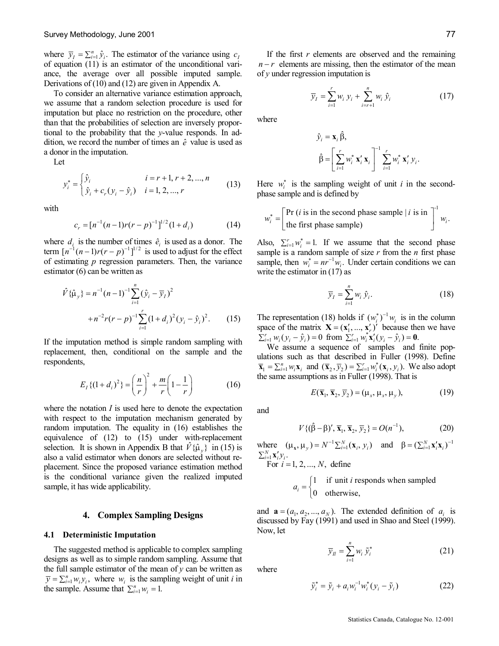where  $\overline{y}_I = \sum_{i=1}^n \hat{y}_i$ . The estimator of the variance using  $c_I$ of equation (11) is an estimator of the unconditional vari ance, the average over all possible imputed sample. Derivations of (10) and (12) are given in Appendix A.

To consider an alternative variance estimation approach, we assume that a random selection procedure is used for imputation but place no restriction on the procedure, other than that the probabilities of selection are inversely proportional to the probability that the *y*-value responds. In addition, we record the number of times an  $\hat{e}$  value is used as a donor in the imputation.

Let

$$
y_i^* = \begin{cases} \hat{y}_i & i = r+1, r+2, ..., n \\ \hat{y}_i + c_r (y_i - \hat{y}_i) & i = 1, 2, ..., r \end{cases}
$$
 (13)

with

$$
c_r = [n^{-1}(n-1)r(r-p)^{-1}]^{1/2}(1+d_i)
$$
 (14)

where  $d_i$  is the number of times  $\hat{e}_i$  is used as a donor. The term  $\left[ n^{-1}(n-1)r(r-p)^{-1} \right]^{1/2}$  is used to adjust for the effect of estimating *p* regression parameters. Then, the variance estimator (6) can be written as

$$
\hat{V}\{\hat{\mu}_y\} = n^{-1}(n-1)^{-1} \sum_{i=1}^n (\hat{y}_i - \overline{y}_i)^2
$$
  
+ 
$$
n^{-2}r(r-p)^{-1} \sum_{i=1}^r (1+d_i)^2 (y_i - \hat{y}_i)^2.
$$
 (15)

If the imputation method is simple random sampling with replacement, then, conditional on the sample and the respondents,

$$
E_I\{(1+d_i)^2\} = \left(\frac{n}{r}\right)^2 + \frac{m}{r}\left(1-\frac{1}{r}\right) \tag{16}
$$

where the notation *I* is used here to denote the expectation with respect to the imputation mechanism generated by random imputation. The equality in (16) establishes the equivalence of  $(12)$  to  $(15)$  under with-replacement selection. It is shown in Appendix B that  $V{\hat{\mu}}_v$  in (15) is also a valid estimator when donors are selected without re placement. Since the proposed variance estimation method is the conditional variance given the realized imputed sample, it has wide applicability.

## **4. Complex Sampling Designs**

#### **4.1 Deterministic Imputation**

The suggested method is applicable to complex sampling designs as well as to simple random sampling. Assume that the full sample estimator of the mean of  $y$  can be written as  $\overline{y} = \sum_{i=1}^{n} w_i y_i$ , where  $w_i$  is the sampling weight of unit *i* in the sample. Assume that  $\sum_{i=1}^{n} w_i = 1$ .

If the first  $r$  elements are observed and the remaining  $n-r$  elements are missing, then the estimator of the mean of *y* under regression imputation is

$$
\overline{y}_I = \sum_{i=1}^r w_i y_i + \sum_{i=r+1}^n w_i \hat{y}_i
$$
 (17)

where

$$
\hat{y}_i = \mathbf{x}_i \hat{\beta},
$$
\n
$$
\hat{\beta} = \left[ \sum_{i=1}^r w_i^* \mathbf{x}_i' \mathbf{x}_i \right]^{-1} \sum_{i=1}^r w_i^* \mathbf{x}_i' y_i.
$$

Here  $w_i^*$  is the sampling weight of unit *i* in the secondphase sample and is defined by

$$
w_i^* = \left[\begin{matrix} \Pr\left(i \text{ is in the second phase sample} \mid i \text{ is in} \\ \text{the first phase sample} \right) \end{matrix}\right]^1 w_i.
$$

Also,  $\sum_{i=1}^{r} w_i^* = 1$ . If we assume that the second phase sample is a random sample of size *r* from the *n* first phase sample, then  $w_i^* = nr^{-1}w_i$ . Under certain conditions we can write the estimator in (17) as

$$
\overline{y}_I = \sum_{i=1}^n w_i \hat{y}_i.
$$
 (18)

The representation (18) holds if  $(w_i^*)^{-1} w_i$  is in the column space of the matrix  $\mathbf{X} = (\mathbf{x}'_1, ..., \mathbf{x}'_r)'$  because then we have  $\sum_{i=1}^r w_i (y_i - \hat{y}_i) = 0$  from  $\sum_{i=1}^r w_i^* \mathbf{x}_i' (y_i - \hat{y}_i) = \mathbf{0}$ .

We assume a sequence of samples and finite pop ulations such as that described in Fuller (1998). Define  $\overline{\mathbf{x}}_1 = \sum_{i=1}^n w_i \mathbf{x}_i$  and  $(\overline{\mathbf{x}}_2, \overline{y}_2) = \sum_{i=1}^r w_i^*(\mathbf{x}_i, y_i)$ . We also adopt the same assumptions as in Fuller (1998). That is

$$
E(\overline{\mathbf{x}}_1, \overline{\mathbf{x}}_2, \overline{y}_2) = (\mu_x, \mu_x, \mu_y), \tag{19}
$$

and

$$
V\{(\hat{\beta} - \beta)', \overline{\mathbf{x}}_1, \overline{\mathbf{x}}_2, \overline{y}_2\} = O(n^{-1}),\tag{20}
$$

where  $(\mu_x, \mu_y) = N^{-1} \sum_{i=1}^N (\mathbf{x}_i, y_i)$  and  $\beta = (\sum_{i=1}^N \mathbf{x}_i' \mathbf{x}_i)^{-1}$  $\sum_{i=1}^N \mathbf{X}'_i \mathcal{Y}_i$  . For *i* =1, 2, ..., *N*, define

$$
a_i = \begin{cases} 1 & \text{if unit } i \text{ responds when sampled} \\ 0 & \text{otherwise,} \end{cases}
$$

and  $\mathbf{a} = (a_1, a_2, ..., a_N)$ . The extended definition of  $a_i$  is discussed by Fay (1991) and used in Shao and Steel (1999). Now, let

$$
\overline{y}_n = \sum_{i=1}^n w_i \, \widetilde{y}_i^* \tag{21}
$$

where

$$
\tilde{y}_i^* = \tilde{y}_i + a_i w_i^{-1} w_i^* (y_i - \tilde{y}_i)
$$
\n(22)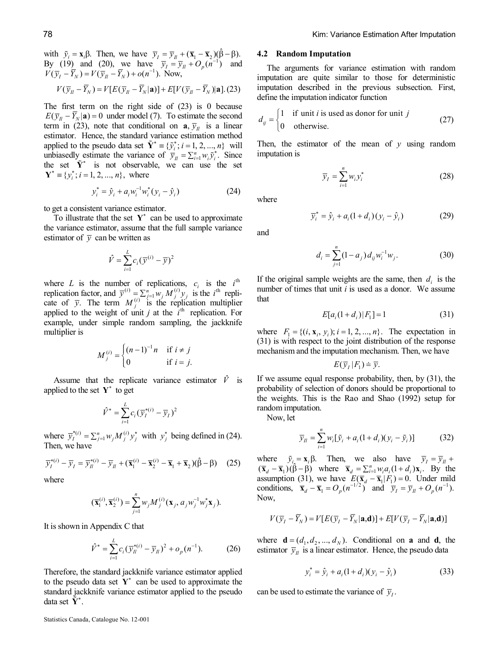with  $\tilde{y}_i = \mathbf{x}_i \beta$ . Then, we have  $\overline{y}_I = \overline{y}_I + (\overline{\mathbf{x}}_1 - \overline{\mathbf{x}}_2)(\hat{\beta} - \beta)$ . By (19) and (20), we have  $\bar{y}_I = \bar{y}_I + O_p(n^{-1})$  and  $V(\bar{y}_I - \bar{Y}_N) = V(\bar{y}_I - \bar{Y}_N) + o(n^{-1})$ . Now,

$$
V(\overline{y}_n - \overline{Y}_N) = V[E(\overline{y}_n - \overline{Y}_N | \mathbf{a})] + E[V(\overline{y}_n - \overline{Y}_N) | \mathbf{a}].(23)
$$

The first term on the right side of  $(23)$  is 0 because  $E(\overline{y}_n - \overline{Y}_N | \mathbf{a}) = 0$  under model (7). To estimate the second term in (23), note that conditional on  $a, \overline{y}_n$  is a linear estimator. Hence, the standard variance estimation method applied to the pseudo data set  $\tilde{Y}^* = \{\tilde{y}_i^*, i = 1, 2, ..., n\}$  will unbiasedly estimate the variance of  $\overline{y}_n = \sum_{i=1}^n w_i \tilde{y}_i^*$ . Since the set  $\tilde{Y}^*$  is not observable, we can use the set  ${\bf Y}^* \equiv \{y_i^*; i = 1, 2, ..., n\},\$  where

$$
y_i^* = \hat{y}_i + a_i w_i^{-1} w_i^* (y_i - \hat{y}_i)
$$
 (24)

to get a consistent variance estimator.

To illustrate that the set  $Y^*$  can be used to approximate the variance estimator, assume that the full sample variance estimator of  $\bar{y}$  can be written as

$$
\hat{V} = \sum_{i=1}^{L} c_i (\overline{y}^{(i)} - \overline{y})^2
$$

where *L* is the number of replications,  $c_i$  is the  $i^{\text{th}}$ replication factor, and  $\overline{y}^{(i)} = \sum_{j=1}^{n} w_j M_j^{(i)} y_j$  is the *i*<sup>th</sup> replicate of  $\overline{y}$ . The term  $M_i^{(i)}$  is the replication multiplier applied to the weight of unit *j* at the  $i<sup>th</sup>$  replication. For example, under simple random sampling, the jackknife multiplier is

$$
M_j^{(i)} = \begin{cases} (n-1)^{-1}n & \text{if } i \neq j \\ 0 & \text{if } i = j. \end{cases}
$$

Assume that the replicate variance estimator  $\hat{V}$  is applied to the set  $Y^*$  to get

$$
\hat{V}^* = \sum_{i=1}^L c_i (\overline{y}_I^{*(i)} - \overline{y}_I)^2
$$

where  $\overline{y}_i^{*(i)} = \sum_{j=1}^n w_j M_j^{(i)} y_j^*$  with  $y_j^*$  being defined in (24). Then, we have

$$
\overline{y}_I^{*(i)} - \overline{y}_I = \overline{y}_I^{*(i)} - \overline{y}_I + (\overline{\mathbf{x}}_I^{(i)} - \overline{\mathbf{x}}_2^{(i)} - \overline{\mathbf{x}}_I + \overline{\mathbf{x}}_2)(\hat{\beta} - \beta) \tag{25}
$$

where

$$
(\overline{\mathbf{x}}_1^{(i)}, \overline{\mathbf{x}}_2^{(i)}) = \sum_{j=1}^n w_j M_j^{(i)}(\mathbf{x}_j, a_j w_j^{-1} w_j^* \mathbf{x}_j).
$$

It is shown in Appendix C that

$$
\hat{V}^* = \sum_{i=1}^{L} c_i (\bar{y}_n^{*(i)} - \bar{y}_n)^2 + o_p(n^{-1}).
$$
 (26)

Therefore, the standard jackknife variance estimator applied to the pseudo data set  $Y^*$  can be used to approximate the standard jackknife variance estimator applied to the pseudo data set  $\tilde{Y}^*$ .

#### **4.2 Random Imputation**

The arguments for variance estimation with random imputation are quite similar to those for deterministic imputation described in the previous subsection. First, define the imputation indicator function

$$
d_{ij} = \begin{cases} 1 & \text{if unit } i \text{ is used as donor for unit } j \\ 0 & \text{otherwise.} \end{cases}
$$
 (27)

Then, the estimator of the mean of *y* using random imputation is

*n*

1  $I = \sum_{i=1}^{N} w_i y_i$  $\overline{y}_I = \sum_{i=1} w_i y_i^*$  (28)

$$
\overline{y}_i^* = \hat{y}_i + a_i (1 + d_i) (y_i - \hat{y}_i)
$$
 (29)

and

where

$$
d_i = \sum_{j=1}^{n} (1 - a_j) d_{ij} w_i^{-1} w_j.
$$
 (30)

If the original sample weights are the same, then  $d_i$  is the number of times that unit *i* is used as a donor. We assume that

$$
E[a_i(1+d_i)|F_1] = 1 \tag{31}
$$

where  $F_1 = \{(i, x_i, y_i); i = 1, 2, ..., n\}$ . The expectation in (31) is with respect to the joint distribution of the response mechanism and the imputation mechanism. Then, we have

$$
E(\overline{y}_I | F_1) = \overline{y}.
$$

If we assume equal response probability, then, by (31), the probability of selection of donors should be proportional to the weights. This is the Rao and Shao (1992) setup for random imputation.

Now, let

$$
\overline{y}_n = \sum_{i=1}^n w_i [\widetilde{y}_i + a_i (1 + d_i) (y_i - \widetilde{y}_i)] \tag{32}
$$

where  $\tilde{y}_i = \mathbf{x}_i \beta$ . Then, we also have  $\overline{y}_I = \overline{y}_I + \overline{y}_I$  $(\overline{\mathbf{x}}_d - \overline{\mathbf{x}}_1)(\hat{\beta} - \hat{\beta})$  where  $\overline{\mathbf{x}}_d = \sum_{i=1}^n w_i a_i (1 + d_i) \mathbf{x}_i$ . By the assumption (31), we have  $E(\bar{\mathbf{x}}_d - \bar{\mathbf{x}}_1 | F_1) = 0$ . Under mild conditions,  $\overline{\mathbf{x}}_d - \overline{\mathbf{x}}_1 = O_p(n^{-1/2})$  and  $\overline{y}_I = \overline{y}_I + O_p(n^{-1})$ . Now,

$$
V(\overline{y}_I - \overline{Y}_N) = V[E(\overline{y}_I - \overline{Y}_N | \mathbf{a}, \mathbf{d})] + E[V(\overline{y}_I - \overline{Y}_N | \mathbf{a}, \mathbf{d})]
$$

where  ${\bf d} = (d_1, d_2, ..., d_N)$ . Conditional on **a** and **d**, the estimator  $\bar{y}_n$  is a linear estimator. Hence, the pseudo data

$$
y_i^* = \hat{y}_i + a_i (1 + d_i)(y_i - \hat{y}_i)
$$
 (33)

can be used to estimate the variance of  $\bar{y}_i$ .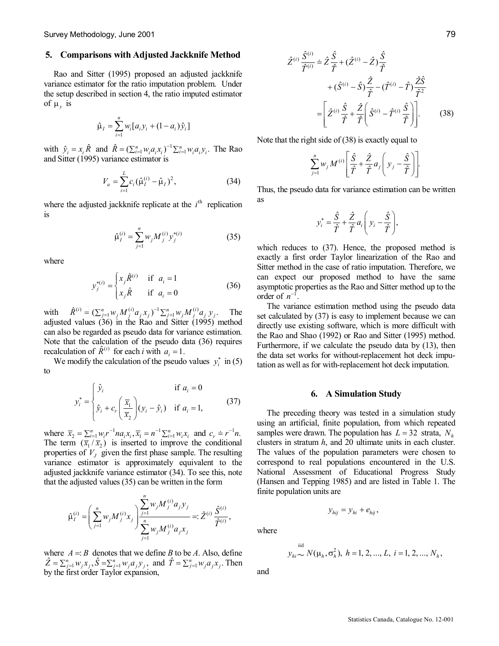## **5. Comparisons with Adjusted Jackknife Method**

Rao and Sitter (1995) proposed an adjusted jackknife variance estimator for the ratio imputation problem. Under the setup described in section 4, the ratio imputed estimator of  $\mu$ <sub>*y*</sub> is

$$
\hat{\mu}_I = \sum_{i=1}^n w_i [a_i y_i + (1 - a_i) \hat{y}_i]
$$

with  $\hat{y}_i = x_i \hat{R}$  and  $\hat{R} = (\sum_{i=1}^n w_i a_i x_i)^{-1} \sum_{i=1}^n w_i a_i y_i$ . The Rao and Sitter (1995) variance estimator is

$$
V_a = \sum_{i=1}^{L} c_i (\hat{\mu}_I^{(i)} - \hat{\mu}_I)^2, \qquad (34)
$$

where the adjusted jackknife replicate at the  $i<sup>th</sup>$  replication is

$$
\hat{\mu}_I^{(i)} = \sum_{j=1}^n w_j M_j^{(i)} y_j^{*(i)}
$$
\n(35)

where

$$
y_j^{*(i)} = \begin{cases} x_j \hat{R}^{(i)} & \text{if } a_i = 1\\ x_j \hat{R} & \text{if } a_i = 0 \end{cases}
$$
 (36)

with  $\hat{R}^{(i)} = (\sum_{j=1}^{n} w_j M_j^{(i)} a_j x_j)^{-1} \sum_{j=1}^{n} w_j M_j^{(i)} a_j y_j$ . The adjusted values (36) in the Rao and Sitter (1995) method can also be regarded as pseudo data for variance estimation. Note that the calculation of the pseudo data (36) requires recalculation of  $\hat{R}^{(i)}$  for each *i* with  $a_i = 1$ .

alculation of  $R^{(i)}$  for each *i* with  $a_i = 1$ .<br>We modify the calculation of the pseudo values  $y_i^*$  in (5) to

$$
y_i^* = \begin{cases} \hat{y}_i & \text{if } a_i = 0\\ \hat{y}_i + c_r \left(\frac{\overline{x}_1}{\overline{x}_2}\right) (y_i - \hat{y}_i) & \text{if } a_i = 1, \end{cases}
$$
(37)

where  $\bar{x}_2 = \sum_{i=1}^n w_i r^{-1} n a_i x_i$ ,  $\bar{x}_1 = n^{-1} \sum_{i=1}^n w_i x_i$  and  $c_r = r^{-1} n$ . The term  $(\overline{x}_1 / \overline{x}_2)$  is inserted to improve the conditional properties of  $V_J$  given the first phase sample. The resulting variance estimator is approximately equivalent to the adjusted jackknife variance estimator (34). To see this, note that the adjusted values (35) can be written in the form

$$
\hat{\mu}_{I}^{(i)} = \left(\sum_{j=1}^{n} w_j M_j^{(i)} x_j \right) \frac{\sum_{j=1}^{n} w_j M_j^{(i)} a_j y_j}{\sum_{j=1}^{n} w_j M_j^{(i)} a_j x_j} =: \hat{Z}^{(i)} \frac{\hat{S}^{(i)}}{\hat{T}^{(i)}},
$$

where  $A = B$  denotes that we define *B* to be *A*. Also, define  $\hat{Z} = \sum_{j=1}^{n} w_j x_j$ ,  $\hat{S} = \sum_{j=1}^{n} w_j a_j y_j$ , and  $\hat{T} = \sum_{j=1}^{n} w_j a_j x_j$ . Then by the first order Taylor expansion,

$$
\hat{Z}^{(i)} \frac{\hat{S}^{(i)}}{\hat{T}^{(i)}} = \hat{Z} \frac{\hat{S}}{\hat{T}} + (\hat{Z}^{(i)} - \hat{Z}) \frac{\hat{S}}{\hat{T}} \n+ (\hat{S}^{(i)} - \hat{S}) \frac{\hat{Z}}{\hat{T}} - (\hat{T}^{(i)} - \hat{T}) \frac{\hat{Z}\hat{S}}{\hat{T}^2} \n= \left[ \hat{Z}^{(i)} \frac{\hat{S}}{\hat{T}} + \frac{\hat{Z}}{\hat{T}} \left( \hat{S}^{(i)} - \hat{T}^{(i)} \frac{\hat{S}}{\hat{T}} \right) \right].
$$
\n(38)

Note that the right side of (38) is exactly equal to

$$
\sum_{j=1}^n w_j M^{(i)} \left[ \frac{\hat{S}}{\hat{T}} + \frac{\hat{Z}}{\hat{T}} a_j \left( y_j - \frac{\hat{S}}{\hat{T}} \right) \right].
$$

Thus, the pseudo data for variance estimation can be written as

$$
y_i^* = \frac{\hat{S}}{\hat{T}} + \frac{\hat{Z}}{\hat{T}} a_i \left( y_i - \frac{\hat{S}}{\hat{T}} \right),
$$

which reduces to (37). Hence, the proposed method is exactly a first order Taylor linearization of the Rao and Sitter method in the case of ratio imputation. Therefore, we can expect our proposed method to have the same asymptotic properties as the Rao and Sitter method up to the order of  $n^{-1}$ .

The variance estimation method using the pseudo data set calculated by (37) is easy to implement because we can directly use existing software, which is more difficult with the Rao and Shao (1992) or Rao and Sitter (1995) method. Furthermore, if we calculate the pseudo data by (13), then the data set works for without-replacement hot deck imputation as well as for with-replacement hot deck imputation.

## **6. A Simulation Study**

The preceding theory was tested in a simulation study using an artificial, finite population, from which repeated samples were drawn. The population has  $L = 32$  strata,  $N<sub>h</sub>$ clusters in stratum *h*, and 20 ultimate units in each cluster. The values of the population parameters were chosen to correspond to real populations encountered in the U.S. National Assessment of Educational Progress Study (Hansen and Tepping 1985) and are listed in Table 1. The finite population units are

$$
y_{hij} = y_{hi} + e_{hij},
$$

where

$$
y_{hi}
$$
  $\sim N(\mu_h, \sigma_h^2), h = 1, 2, ..., L, i = 1, 2, ..., N_h,$ 

and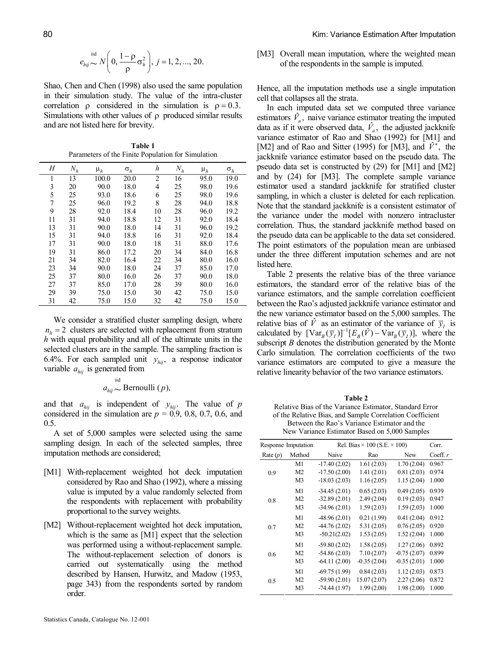$$
e_{hij} \sim N\left(0, \frac{1-\rho}{\rho} \sigma_h^2\right), j = 1, 2, ..., 20.
$$

Shao, Chen and Chen (1998) also used the same population in their simulation study. The value of the intra-cluster correlation  $\rho$  considered in the simulation is  $\rho = 0.3$ . Simulations with other values of  $\rho$  produced similar results and are not listed here for brevity.

**Table 1** Parameters of the Finite Population for Simulation

| Н  | $N_h$ | $\mu_h$ | $\sigma_h$ | h              | $N_h$ | $\mu_h$ | $\sigma_h$ |
|----|-------|---------|------------|----------------|-------|---------|------------|
| 1  | 13    | 100.0   | 20.0       | $\overline{c}$ | 16    | 95.0    | 19.0       |
| 3  | 20    | 90.0    | 18.0       | 4              | 25    | 98.0    | 19.6       |
| 5  | 25    | 93.0    | 18.6       | 6              | 25    | 98.0    | 19.6       |
| 7  | 25    | 96.0    | 19.2       | 8              | 28    | 94.0    | 18.8       |
| 9  | 28    | 92.0    | 18.4       | 10             | 28    | 96.0    | 19.2       |
| 11 | 31    | 94.0    | 18.8       | 12             | 31    | 92.0    | 18.4       |
| 13 | 31    | 90.0    | 18.0       | 14             | 31    | 96.0    | 19.2       |
| 15 | 31    | 94.0    | 18.8       | 16             | 31    | 92.0    | 18.4       |
| 17 | 31    | 90.0    | 18.0       | 18             | 31    | 88.0    | 17.6       |
| 19 | 31    | 86.0    | 17.2       | 20             | 34    | 84.0    | 16.8       |
| 21 | 34    | 82.0    | 16.4       | 22             | 34    | 80.0    | 16.0       |
| 23 | 34    | 90.0    | 18.0       | 24             | 37    | 85.0    | 17.0       |
| 25 | 37    | 80.0    | 16.0       | 26             | 37    | 90.0    | 18.0       |
| 27 | 37    | 85.0    | 17.0       | 28             | 39    | 80.0    | 16.0       |
| 29 | 39    | 75.0    | 15.0       | 30             | 42    | 75.0    | 15.0       |
| 31 | 42    | 75.0    | 15.0       | 32             | 42    | 75.0    | 15.0       |

We consider a stratified cluster sampling design, where  $n_h = 2$  clusters are selected with replacement from stratum *h* with equal probability and all of the ultimate units in the selected clusters are in the sample. The sampling fraction is 6.4%. For each sampled unit  $y_{hij}$ , a response indicator variable  $a_{hij}$  is generated from

$$
a_{hij} \sim \text{Bernoulli}(p),
$$

and that  $a_{hij}$  is independent of  $y_{hij}$ . The value of *p* considered in the simulation are  $p = 0.9, 0.8, 0.7, 0.6,$  and

0.5.<br>A set of 5,000 samples were selected using the same sampling design. In each of the selected samples, three imputation methods are considered;

- [M1] With-replacement weighted hot deck imputation considered by Rao and Shao (1992), where a missing value is imputed by a value randomly selected from the respondents with replacement with probability proportional to the survey weights.
- [M2] Without-replacement weighted hot deck imputation, which is the same as [M1] expect that the selection was performed using a without-replacement sample. The without-replacement selection of donors is carried out systematically using the method described by Hansen, Hurwitz, and Madow (1953, page 343) from the respondents sorted by random order.

[M3] Overall mean imputation, where the weighted mean of the respondents in the sample is imputed.

Hence, all the imputation methods use a single imputation cell that collapses all the strata.

In each imputed data set we computed three variance estimators  $\hat{V}_n$ , naive variance estimator treating the imputed data as if it were observed data,  $\hat{V}_a$ , the adjusted jackknife variance estimator of Rao and Shao (1992) for [M1] and [M2] and of Rao and Sitter (1995) for [M3], and  $\hat{V}^*$ , the jackknife variance estimator based on the pseudo data. The pseudo data set is constructed by (29) for [M1] and [M2] and by (24) for [M3]. The complete sample variance estimator used a standard jackknife for stratified cluster sampling, in which a cluster is deleted for each replication. Note that the standard jackknife is a consistent estimator of the variance under the model with nonzero intracluster correlation. Thus, the standard jackknife method based on the pseudo data can be applicable to the data set considered. The point estimators of the population mean are unbiased under the three different imputation schemes and are not listed here.

Table 2 presents the relative bias of the three variance estimators, the standard error of the relative bias of the variance estimators, and the sample correlation coefficient between the Rao's adjusted jackknife variance estimator and the new variance estimator based on the 5,000 samples. The relative bias of  $\hat{V}$  as an estimator of the variance of  $\bar{y}_l$  is calculated by  $\left[ \text{Var}_B(\overline{y}_I) \right]^{-1} \left[ E_B(\hat{V}) - \text{Var}_B(\overline{y}_I) \right]$ , where the subscript *B* denotes the distribution generated by the Monte Carlo simulation. The correlation coefficients of the two variance estimators are computed to give a measure the relative linearity behavior of the two variance estimators.

**Table 2** Relative Bias of the Variance Estimator, Standard Error of the Relative Bias, and Sample Correlation Coefficient Between the Rao's Variance Estimator and the New Variance Estimator Based on 5,000 Samples

| Response Imputation |                | Rel. Bias $\times$ 100 (S.E. $\times$ 100) | Corr.         |               |            |
|---------------------|----------------|--------------------------------------------|---------------|---------------|------------|
| Rate $(p)$          | Method         | Naive                                      | Rao           | New           | Coeff. $r$ |
| 0.9                 | M1             | $-17.40(2.02)$                             | 1.61(2.03)    | 1.70(2.04)    | 0.967      |
|                     | M <sub>2</sub> | $-17.50(2.00)$                             | 1.41(2.01)    | 0.81(2.03)    | 0.974      |
|                     | M3             | $-18.03(2.03)$                             | 1.16(2.05)    | 1.15(2.04)    | 1.000      |
| 0.8                 | M1             | $-34.45(2.01)$                             | 0.65(2.03)    | 0.49(2.05)    | 0.939      |
|                     | M <sub>2</sub> | $-32.89(2.01)$                             | 2.49(2.04)    | 0.19(2.03)    | 0.947      |
|                     | M3             | $-34.96(2.01)$                             | 1.59(2.03)    | 1.59(2.03)    | 1.000      |
| 0.7                 | M1             | $-48.96(2.01)$                             | 0.21(1.99)    | 0.41(2.04)    | 0.912      |
|                     | M <sub>2</sub> | $-44.76(2.02)$                             | 5.31(2.05)    | 0.76(2.05)    | 0.920      |
|                     | M3             | $-50.21(2.02)$                             | 1.53(2.05)    | 1.52(2.04)    | 1.000      |
| 0.6                 | M1             | $-59.80(2.02)$                             | 1.58(2.05)    | 1.27(2.06)    | 0.892      |
|                     | M <sub>2</sub> | $-54.86(2.03)$                             | 7.10(2.07)    | $-0.75(2.07)$ | 0.899      |
|                     | M3             | $-64.11(2.00)$                             | $-0.35(2.04)$ | $-0.35(2.01)$ | 1.000      |
| 0.5                 | M1             | $-69.75(1.99)$                             | 0.84(2.03)    | 1.12(2.03)    | 0.873      |
|                     | M <sub>2</sub> | $-59.90(2.01)$                             | 15.07(2.07)   | 2.27(2.06)    | 0.872      |
|                     | M3             | $-74.44(1.97)$                             | 1.99(2.00)    | 1.98(2.00)    | 1.000      |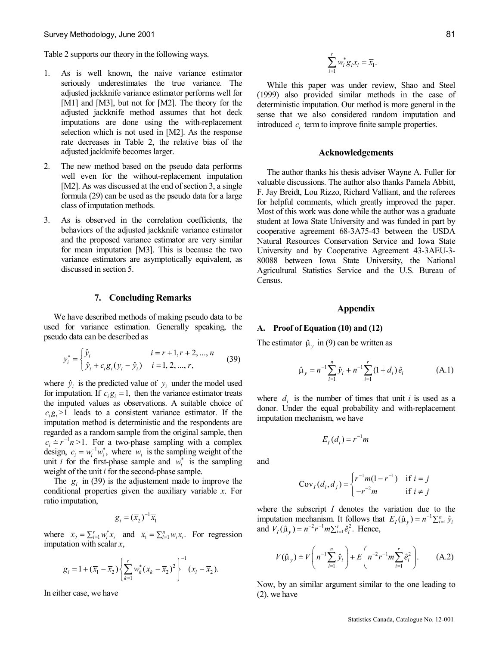Table 2 supports our theory in the following ways.

- 1. As is well known, the naive variance estimator seriously underestimates the true variance. The adjusted jackknife variance estimator performs well for [M1] and [M3], but not for [M2]. The theory for the adjusted jackknife method assumes that hot deck imputations are done using the with-replacement selection which is not used in [M2]. As the response rate decreases in Table 2, the relative bias of the adjusted jackknife becomes larger.
- 2. The new method based on the pseudo data performs well even for the without-replacement imputation [M2]. As was discussed at the end of section 3, a single formula (29) can be used as the pseudo data for a large class of imputation methods.
- 3. As is observed in the correlation coefficients, the behaviors of the adjusted jackknife variance estimator and the proposed variance estimator are very similar for mean imputation [M3]. This is because the two variance estimators are asymptotically equivalent, as discussed in section 5.

# **7. Concluding Remarks**

We have described methods of making pseudo data to be used for variance estimation. Generally speaking, the pseudo data can be described as

$$
y_i^* = \begin{cases} \hat{y}_i & i = r+1, r+2, ..., n \\ \hat{y}_i + c_i g_i (y_i - \hat{y}_i) & i = 1, 2, ..., r, \end{cases}
$$
 (39)

where  $\hat{y}_i$  is the predicted value of  $y_i$  under the model used for imputation. If  $c_i g_i = 1$ , then the variance estimator treats the imputed values as observations. A suitable choice of  $c_i g_i > 1$  leads to a consistent variance estimator. If the imputation method is deterministic and the respondents are regarded as a random sample from the original sample, then  $c_i \doteq r^{-1}n > 1$ . For a two-phase sampling with a complex design,  $c_i = w_i^{-1} w_i^*$ , where  $w_i$  is the sampling weight of the unit *i* for the first-phase sample and  $w_i^*$  is the sampling weight of the unit  $i$  for the second-phase sample.

The  $g_i$  in (39) is the adjustement made to improve the conditional properties given the auxiliary variable *x*. For ratio imputation,

$$
g_i = (\overline{x}_2)^{-1} \overline{x}_1
$$

where  $\overline{x}_2 = \sum_{i=1}^r w_i^* x_i$  and  $\overline{x}_1 = \sum_{i=1}^n w_i x_i$ . For regression imputation with scalar *x*,

$$
g_i = 1 + (\overline{x}_1 - \overline{x}_2) \left\{ \sum_{k=1}^r w_k^* (x_k - \overline{x}_2)^2 \right\}^{-1} (x_i - \overline{x}_2).
$$

In either case, we have

$$
\sum_{i=1}^r w_i^* g_i x_i = \overline{x}_1.
$$

While this paper was under review, Shao and Steel (1999) also provided similar methods in the case of deterministic imputation. Our method is more general in the sense that we also considered random imputation and introduced  $c_i$  term to improve finite sample properties.

# **Acknowledgements**

The author thanks his thesis adviser Wayne A. Fuller for valuable discussions. The author also thanks Pamela Abbitt, F. Jay Breidt, Lou Rizzo, Richard Valliant, and the referees for helpful comments, which greatly improved the paper. Most of this work was done while the author was a graduate student at Iowa State University and was funded in part by cooperative agreement 68-3A75-43 between the USDA Natural Resources Conservation Service and Iowa State University and by Cooperative Agreement 43-3AEU-3-80088 between Iowa State University, the National Agricultural Statistics Service and the U.S. Bureau of Census.

# **Appendix**

#### **A. Proof of Equation (10) and (12)**

The estimator  $\hat{\mu}$ <sub>v</sub> in (9) can be written as

$$
\hat{\mu}_y = n^{-1} \sum_{i=1}^n \hat{y}_i + n^{-1} \sum_{i=1}^r (1 + d_i) \hat{e}_i \tag{A.1}
$$

where  $d_i$  is the number of times that unit *i* is used as a donor. Under the equal probability and with-replacement imputation mechanism, we have

$$
E_I(d_i) = r^{-1}m
$$

and

$$
CovI(di, dj) = \begin{cases} r^{-1}m(1 - r^{-1}) & \text{if } i = j \\ -r^{-2}m & \text{if } i \neq j \end{cases}
$$

where the subscript *I* denotes the variation due to the imputation mechanism. It follows that  $E_I(\hat{\mu}_y) = n^{-1} \sum_{i=1}^n \hat{y}_i$ and  $V_I(\hat{\mu}_y) = n^{-2}r^{-1}m\Sigma_{i=1}^r \hat{e}_i^2$ . Hence,

$$
V(\hat{\mu}_y) \doteq V\left(n^{-1}\sum_{i=1}^n \hat{y}_i\right) + E\left(n^{-2}r^{-1}m\sum_{i=1}^r \hat{e}_i^2\right).
$$
 (A.2)

Now, by an similar argument similar to the one leading to (2), we have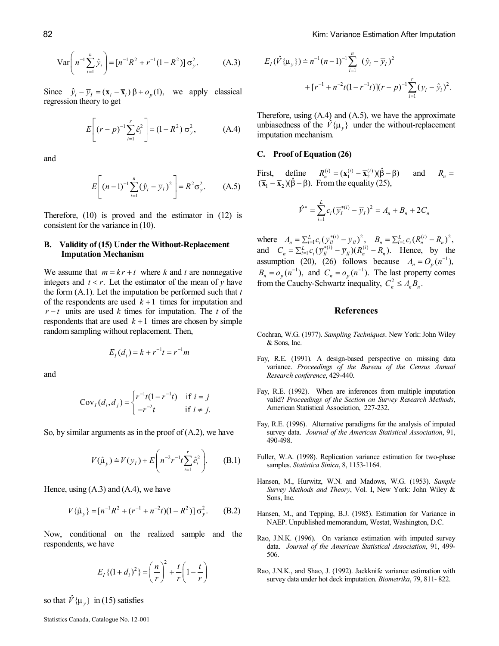$$
\text{Var}\bigg(n^{-1}\sum_{i=1}^{n}\hat{y}_i\bigg) = [n^{-1}R^2 + r^{-1}(1 - R^2)]\,\sigma_y^2. \tag{A.3}
$$

Since  $\hat{y}_i - \overline{y}_i = (\mathbf{x}_i - \overline{\mathbf{x}}_i) \beta + o_p(1)$ , we apply classical regression theory to get

$$
E\left[ (r-p)^{-1} \sum_{i=1}^{r} \hat{e}_i^2 \right] = (1 - R^2) \sigma_y^2, \tag{A.4}
$$

and

$$
E\left[ (n-1)^{-1} \sum_{i=1}^{n} (\hat{y}_i - \overline{y}_I)^2 \right] = R^2 \sigma_y^2.
$$
 (A.5)

Therefore, (10) is proved and the estimator in (12) is consistent for the variance in (10).

# **B.** Validity of (15) Under the Without-Replacement **Imputation Mechanism**

We assume that  $m = kr + t$  where *k* and *t* are nonnegative integers and  $t < r$ . Let the estimator of the mean of  $y$  have the form (A.1). Let the imputation be performed such that *t* of the respondents are used  $k+1$  times for imputation and  $r - t$  units are used *k* times for imputation. The *t* of the respondents that are used  $k+1$  times are chosen by simple random sampling without replacement. Then,

$$
E_I(d_i) = k + r^{-1}t = r^{-1}m
$$

and

$$
CovI(di, dj) = \begin{cases} r^{-1}t(1 - r^{-1}t) & \text{if } i = j \\ -r^{-2}t & \text{if } i \neq j. \end{cases}
$$

So, by similar arguments as in the proof of  $(A.2)$ , we have

$$
V(\hat{\mu}_y) = V(\bar{y}_I) + E\left(n^{-2}r^{-1}t\sum_{i=1}^r \hat{e}_i^2\right).
$$
 (B.1)

Hence, using  $(A.3)$  and  $(A.4)$ , we have

$$
V\{\hat{\mu}_y\} = [n^{-1}R^2 + (r^{-1} + n^{-2}t)(1 - R^2)]\sigma_y^2.
$$
 (B.2)

Now, conditional on the realized sample and the respondents, we have

$$
E_{I}\{(1+d_{i})^{2}\} = \left(\frac{n}{r}\right)^{2} + \frac{t}{r}\left(1-\frac{t}{r}\right)
$$

so that  $\hat{V} \{ \mu_v \}$  in (15) satisfies

Therefore, using (A.4) and (A.5), we have the approximate unbiasedness of the  $\hat{V} \{\mu_y\}$  under the without-replacement imputation mechanism.

### **C. Proof of Equation (26)**

First, define  $R_n^{(i)} = (\mathbf{x}_1^{(i)} - \overline{\mathbf{x}}_2^{(i)})(\hat{\beta} - \beta)$  and  $R_n =$  $(\overline{\mathbf{x}}_1 - \overline{\mathbf{x}}_2)(\hat{\beta} - \beta)$ . From the equality (25),

$$
\hat{V}^* = \sum_{i=1}^{L} c_i (\overline{y}_I^{*(i)} - \overline{y}_I)^2 = A_n + B_n + 2C_n
$$

where  $A_n = \sum_{i=1}^{L} c_i (\overline{y}_l^{*(i)} - \overline{y}_l)^2$ ,  $B_n = \sum_{i=1}^{L} c_i (R_n^{(i)} - R_n)^2$ , and  $C_n = \sum_{i=1}^{L} c_i (\overline{y}_n^{*(i)} - \overline{y}_n)(R_n^{(i)} - R_n)$ . Hence, by the assumption (20), (26) follows because  $A_n = O_p(n^{-1})$ ,  $B_n = o_p(n^{-1})$ , and  $C_n = o_p(n^{-1})$ . The last property comes from the Cauchy-Schwartz inequality,  $C_n^2 \leq A_n B_n$ .

### **References**

- Cochran, W.G. (1977). *Sampling Techniques*. New York: John Wiley & Sons, Inc.
- Fay, R.E. (1991). A design-based perspective on missing data variance. *Proceedings of the Bureau of the Census Annual Research conference*, 429-440.
- Fay, R.E. (1992). When are inferences from multiple imputation valid? *Proceedings of the Section on Survey Research Methods*, American Statistical Association, 227-232.
- Fay, R.E. (1996). Alternative paradigms for the analysis of imputed survey data. *Journal of the American Statistical Association*, 91, 490498.
- Fuller, W.A. (1998). Replication variance estimation for two-phase samples. *Statistica Sinica*, 8, 1153-1164.
- Hansen, M., Hurwitz, W.N. and Madows, W.G. (1953). *Sample Survey Methods and Theory*, Vol. I, New York: John Wiley & Sons, Inc.
- Hansen, M., and Tepping, B.J. (1985). Estimation for Variance in NAEP. Unpublished memorandum, Westat, Washington, D.C.
- Rao, J.N.K. (1996). On variance estimation with imputed survey data. *Journal of the American Statistical Association*, 91, 499 506.
- Rao, J.N.K., and Shao, J. (1992). Jackknife variance estimation with survey data under hot deck imputation. *Biometrika*, 79, 811-822.